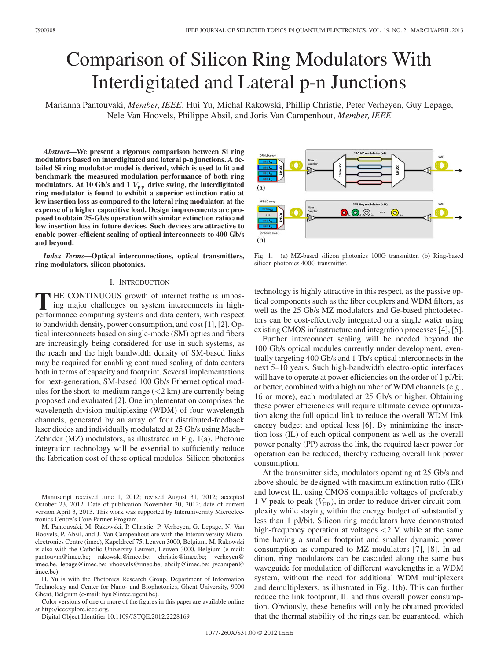# Comparison of Silicon Ring Modulators With Interdigitated and Lateral p-n Junctions

Marianna Pantouvaki*, Member, IEEE*, Hui Yu, Michal Rakowski, Phillip Christie, Peter Verheyen, Guy Lepage, Nele Van Hoovels, Philippe Absil, and Joris Van Campenhout*, Member, IEEE*

*Abstract***—We present a rigorous comparison between Si ring modulators based on interdigitated and lateral p-n junctions. A detailed Si ring modulator model is derived, which is used to fit and benchmark the measured modulation performance of both ring** modulators. At 10 Gb/s and 1  $V_{\text{pp}}$  drive swing, the interdigitated **ring modulator is found to exhibit a superior extinction ratio at low insertion loss as compared to the lateral ring modulator, at the expense of a higher capacitive load. Design improvements are proposed to obtain 25-Gb/s operation with similar extinction ratio and low insertion loss in future devices. Such devices are attractive to enable power-efficient scaling of optical interconnects to 400 Gb/s and beyond.**

*Index Terms***—Optical interconnections, optical transmitters, ring modulators, silicon photonics.**

## I. INTRODUCTION

**T** HE CONTINUOUS growth of internet traffic is imposing major challenges on system interconnects in highperformance computing systems and data centers, with respect to bandwidth density, power consumption, and cost [1], [2]. Optical interconnects based on single-mode (SM) optics and fibers are increasingly being considered for use in such systems, as the reach and the high bandwidth density of SM-based links may be required for enabling continued scaling of data centers both in terms of capacity and footprint. Several implementations for next-generation, SM-based 100 Gb/s Ethernet optical modules for the short-to-medium range  $(< 2 \text{ km})$  are currently being proposed and evaluated [2]. One implementation comprises the wavelength-division multiplexing (WDM) of four wavelength channels, generated by an array of four distributed-feedback laser diodes and individually modulated at 25 Gb/s using Mach– Zehnder (MZ) modulators, as illustrated in Fig. 1(a). Photonic integration technology will be essential to sufficiently reduce the fabrication cost of these optical modules. Silicon photonics

Manuscript received June 1, 2012; revised August 31, 2012; accepted October 23, 2012. Date of publication November 20, 2012; date of current version April 3, 2013. This work was supported by Interuniversity Microelectronics Centre's Core Partner Program.

M. Pantouvaki, M. Rakowski, P. Christie, P. Verheyen, G. Lepage, N. Van Hoovels, P. Absil, and J. Van Campenhout are with the Interuniversity Microelectronics Centre (imec), Kapeldreef 75, Leuven 3000, Belgium. M. Rakowski is also with the Catholic University Leuven, Leuven 3000, Belgium (e-mail: pantouvm@imec.be; rakowski@imec.be; christie@imec.be; verheyen@ imec.be, lepage@imec.be; vhoovels@imec.be; absilp@imec.be; jvcampen@ imec.be).

H. Yu is with the Photonics Research Group, Department of Information Technology and Center for Nano- and Biophotonics, Ghent University, 9000 Ghent, Belgium (e-mail: hyu@intec.ugent.be).

Color versions of one or more of the figures in this paper are available online at http://ieeexplore.ieee.org.

Digital Object Identifier 10.1109/JSTQE.2012.2228169



Fig. 1. (a) MZ-based silicon photonics 100G transmitter. (b) Ring-based silicon photonics 400G transmitter.

technology is highly attractive in this respect, as the passive optical components such as the fiber couplers and WDM filters, as well as the 25 Gb/s MZ modulators and Ge-based photodetectors can be cost-effectively integrated on a single wafer using existing CMOS infrastructure and integration processes [4], [5].

Further interconnect scaling will be needed beyond the 100 Gb/s optical modules currently under development, eventually targeting 400 Gb/s and 1 Tb/s optical interconnects in the next 5–10 years. Such high-bandwidth electro-optic interfaces will have to operate at power efficiencies on the order of 1 pJ/bit or better, combined with a high number of WDM channels (e.g., 16 or more), each modulated at 25 Gb/s or higher. Obtaining these power efficiencies will require ultimate device optimization along the full optical link to reduce the overall WDM link energy budget and optical loss [6]. By minimizing the insertion loss (IL) of each optical component as well as the overall power penalty (PP) across the link, the required laser power for operation can be reduced, thereby reducing overall link power consumption.

At the transmitter side, modulators operating at 25 Gb/s and above should be designed with maximum extinction ratio (ER) and lowest IL, using CMOS compatible voltages of preferably 1 V peak-to-peak  $(V_{\text{pp}})$ , in order to reduce driver circuit complexity while staying within the energy budget of substantially less than 1 pJ/bit. Silicon ring modulators have demonstrated high-frequency operation at voltages  $\langle 2 \rangle$  V, while at the same time having a smaller footprint and smaller dynamic power consumption as compared to MZ modulators [7], [8]. In addition, ring modulators can be cascaded along the same bus waveguide for modulation of different wavelengths in a WDM system, without the need for additional WDM multiplexers and demultiplexers, as illustrated in Fig. 1(b). This can further reduce the link footprint, IL and thus overall power consumption. Obviously, these benefits will only be obtained provided that the thermal stability of the rings can be guaranteed, which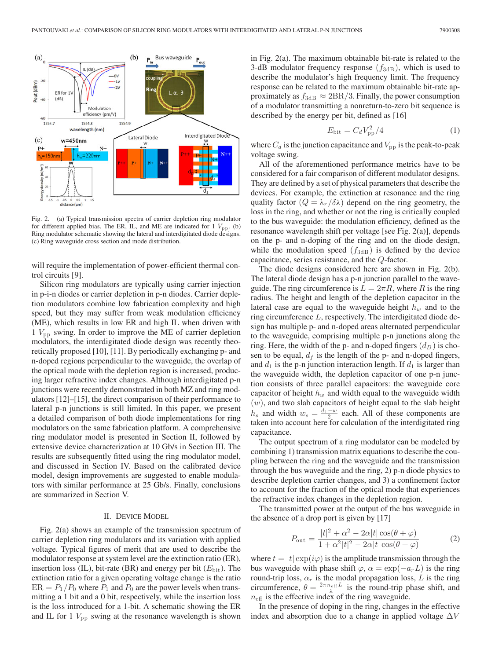

Fig. 2. (a) Typical transmission spectra of carrier depletion ring modulator for different applied bias. The ER, IL, and ME are indicated for  $1 V_{\text{pp}}$ . (b) Ring modulator schematic showing the lateral and interdigitated diode designs. (c) Ring waveguide cross section and mode distribution.

will require the implementation of power-efficient thermal control circuits [9].

Silicon ring modulators are typically using carrier injection in p-i-n diodes or carrier depletion in p-n diodes. Carrier depletion modulators combine low fabrication complexity and high speed, but they may suffer from weak modulation efficiency (ME), which results in low ER and high IL when driven with 1  $V_{\text{pp}}$  swing. In order to improve the ME of carrier depletion modulators, the interdigitated diode design was recently theoretically proposed [10], [11]. By periodically exchanging p- and n-doped regions perpendicular to the waveguide, the overlap of the optical mode with the depletion region is increased, producing larger refractive index changes. Although interdigitated p-n junctions were recently demonstrated in both MZ and ring modulators [12]–[15], the direct comparison of their performance to lateral p-n junctions is still limited. In this paper, we present a detailed comparison of both diode implementations for ring modulators on the same fabrication platform. A comprehensive ring modulator model is presented in Section II, followed by extensive device characterization at 10 Gb/s in Section III. The results are subsequently fitted using the ring modulator model, and discussed in Section IV. Based on the calibrated device model, design improvements are suggested to enable modulators with similar performance at 25 Gb/s. Finally, conclusions are summarized in Section V.

# II. DEVICE MODEL

Fig. 2(a) shows an example of the transmission spectrum of carrier depletion ring modulators and its variation with applied voltage. Typical figures of merit that are used to describe the modulator response at system level are the extinction ratio (ER), insertion loss (IL), bit-rate (BR) and energy per bit  $(E_{\text{bit}})$ . The extinction ratio for a given operating voltage change is the ratio  $ER = P_1/P_0$  where  $P_1$  and  $P_0$  are the power levels when transmitting a 1 bit and a 0 bit, respectively, while the insertion loss is the loss introduced for a 1-bit. A schematic showing the ER and IL for 1  $V_{\text{pp}}$  swing at the resonance wavelength is shown

in Fig. 2(a). The maximum obtainable bit-rate is related to the 3-dB modulator frequency response  $(f_{3dB})$ , which is used to describe the modulator's high frequency limit. The frequency response can be related to the maximum obtainable bit-rate approximately as  $f_{3dB} \approx 2BR/3$ . Finally, the power consumption of a modulator transmitting a nonreturn-to-zero bit sequence is described by the energy per bit, defined as [16]

$$
E_{\text{bit}} = C_d V_{\text{pp}}^2 / 4 \tag{1}
$$

where  $C_d$  is the junction capacitance and  $V_{\rm pp}$  is the peak-to-peak voltage swing.

All of the aforementioned performance metrics have to be considered for a fair comparison of different modulator designs. They are defined by a set of physical parameters that describe the devices. For example, the extinction at resonance and the ring quality factor  $(Q = \lambda_r / \delta \lambda)$  depend on the ring geometry, the loss in the ring, and whether or not the ring is critically coupled to the bus waveguide: the modulation efficiency, defined as the resonance wavelength shift per voltage [see Fig. 2(a)], depends on the p- and n-doping of the ring and on the diode design, while the modulation speed  $(f_{3dB})$  is defined by the device capacitance, series resistance, and the Q-factor.

The diode designs considered here are shown in Fig. 2(b). The lateral diode design has a p-n junction parallel to the waveguide. The ring circumference is  $L = 2\pi R$ , where R is the ring radius. The height and length of the depletion capacitor in the lateral case are equal to the waveguide height  $h_w$  and to the ring circumference  $L$ , respectively. The interdigitated diode design has multiple p- and n-doped areas alternated perpendicular to the waveguide, comprising multiple p-n junctions along the ring. Here, the width of the p- and n-doped fingers  $(d<sub>D</sub>)$  is chosen to be equal,  $d_f$  is the length of the p- and n-doped fingers, and  $d_1$  is the p-n junction interaction length. If  $d_1$  is larger than the waveguide width, the depletion capacitor of one p-n junction consists of three parallel capacitors: the waveguide core capacitor of height  $h_w$  and width equal to the waveguide width  $(w)$ , and two slab capacitors of height equal to the slab height  $h_s$  and width  $w_s = \frac{d_1 - w}{2}$  each. All of these components are taken into account here for calculation of the interdigitated ring capacitance.

The output spectrum of a ring modulator can be modeled by combining 1) transmission matrix equations to describe the coupling between the ring and the waveguide and the transmission through the bus waveguide and the ring, 2) p-n diode physics to describe depletion carrier changes, and 3) a confinement factor to account for the fraction of the optical mode that experiences the refractive index changes in the depletion region.

The transmitted power at the output of the bus waveguide in the absence of a drop port is given by [17]

$$
P_{\text{out}} = \frac{|t|^2 + \alpha^2 - 2\alpha|t|\cos(\theta + \varphi)}{1 + \alpha^2|t|^2 - 2\alpha|t|\cos(\theta + \varphi)}
$$
(2)

where  $t = |t| \exp(i\varphi)$  is the amplitude transmission through the bus waveguide with phase shift  $\varphi$ ,  $\alpha = \exp(-a_rL)$  is the ring round-trip loss,  $\alpha_r$  is the modal propagation loss, L is the ring circumference,  $\theta = \frac{2\pi n_{\text{eff}} L}{\lambda}$  is the round-trip phase shift, and  $n_{\text{eff}}$  is the effective index of the ring waveguide.

In the presence of doping in the ring, changes in the effective index and absorption due to a change in applied voltage  $\Delta V$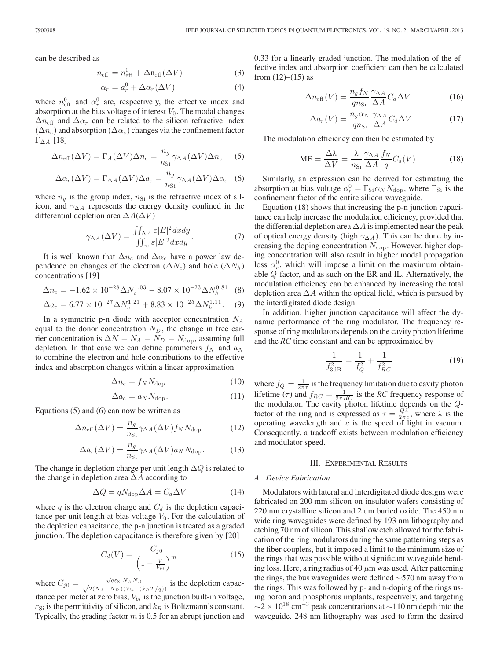can be described as

$$
n_{\text{eff}} = n_{\text{eff}}^0 + \Delta n_{\text{eff}} (\Delta V) \tag{3}
$$

$$
\alpha_r = a_r^0 + \Delta \alpha_r (\Delta V) \tag{4}
$$

where  $n_{\text{eff}}^0$  and  $\alpha_r^0$  are, respectively, the effective index and absorption at the bias voltage of interest  $V_0$ . The modal changes  $\Delta n_{\text{eff}}$  and  $\Delta \alpha_r$  can be related to the silicon refractive index  $(\Delta n_c)$  and absorption  $(\Delta \alpha_c)$  changes via the confinement factor  $\Gamma_{\Delta A}$  [18]

$$
\Delta n_{\text{eff}}(\Delta V) = \Gamma_A(\Delta V)\Delta n_c = \frac{n_g}{n_{\text{Si}}}\gamma_{\Delta A}(\Delta V)\Delta n_c \quad (5)
$$

$$
\Delta \alpha_r(\Delta V) = \Gamma_{\Delta A}(\Delta V) \Delta a_c = \frac{n_g}{n_{\rm Si}} \gamma_{\Delta A}(\Delta V) \Delta \alpha_c
$$
 (6)

where  $n_q$  is the group index,  $n_{\rm Si}$  is the refractive index of silicon, and  $\gamma_{\Delta A}$  represents the energy density confined in the differential depletion area  $\Delta A(\Delta V)$ 

$$
\gamma_{\Delta A}(\Delta V) = \frac{\iint_{\Delta A} \varepsilon |E|^2 dx dy}{\iint_{\infty} \varepsilon |E|^2 dx dy}.
$$
 (7)

It is well known that  $\Delta n_c$  and  $\Delta \alpha_c$  have a power law dependence on changes of the electron ( $\Delta N_e$ ) and hole ( $\Delta N_h$ ) concentrations [19]

$$
\Delta n_c = -1.62 \times 10^{-28} \Delta N_e^{1.03} - 8.07 \times 10^{-23} \Delta N_h^{0.81}
$$
 (8)

$$
\Delta a_c = 6.77 \times 10^{-27} \Delta N_e^{1.21} + 8.83 \times 10^{-25} \Delta N_h^{1.11}.
$$
 (9)

In a symmetric p-n diode with acceptor concentration  $N_A$ equal to the donor concentration  $N_D$ , the change in free carrier concentration is  $\Delta N = N_A = N_D = N_{\text{dop}}$ , assuming full depletion. In that case we can define parameters  $f_N$  and  $a_N$ to combine the electron and hole contributions to the effective index and absorption changes within a linear approximation

$$
\Delta n_c = f_N N_{\text{dop}} \tag{10}
$$

$$
\Delta a_c = a_N N_{\text{dop}}.\tag{11}
$$

Equations (5) and (6) can now be written as

$$
\Delta n_{\text{eff}}(\Delta V) = \frac{n_g}{n_{\text{Si}}} \gamma_{\Delta A}(\Delta V) f_N N_{\text{dop}} \tag{12}
$$

$$
\Delta a_r(\Delta V) = \frac{n_g}{n_{\rm Si}} \gamma_{\Delta A}(\Delta V) a_N N_{\rm dop}.
$$
 (13)

The change in depletion charge per unit length  $\Delta Q$  is related to the change in depletion area  $\Delta A$  according to

$$
\Delta Q = q N_{\rm dop} \Delta A = C_d \Delta V \tag{14}
$$

where  $q$  is the electron charge and  $C_d$  is the depletion capacitance per unit length at bias voltage  $V_0$ . For the calculation of the depletion capacitance, the p-n junction is treated as a graded junction. The depletion capacitance is therefore given by [20]

$$
C_d(V) = \frac{C_{j0}}{\left(1 - \frac{V}{V_{bi}}\right)^m} \tag{15}
$$

where  $C_{j0} = \frac{\sqrt{q \varepsilon_{Si} N_A N_D}}{\sqrt{2(N_A + N_D)(V_{bi} - (k_B T/q))}}$  is the depletion capacitance per meter at zero bias,  $V_{bi}$  is the junction built-in voltage,  $\varepsilon_{\text{Si}}$  is the permittivity of silicon, and  $k_B$  is Boltzmann's constant. Typically, the grading factor  $m$  is 0.5 for an abrupt junction and 0.33 for a linearly graded junction. The modulation of the effective index and absorption coefficient can then be calculated from  $(12)–(15)$  as

$$
\Delta n_{\text{eff}}(V) = \frac{n_g f_N}{qn_{\text{Si}}} \frac{\gamma_{\Delta A}}{\Delta A} C_d \Delta V \tag{16}
$$

$$
\Delta a_r(V) = \frac{n_g \alpha_N}{qn_{\rm Si}} \frac{\gamma_{\Delta A}}{\Delta A} C_d \Delta V.
$$
 (17)

The modulation efficiency can then be estimated by

$$
ME = \frac{\Delta\lambda}{\Delta V} = \frac{\lambda}{n_{\rm Si}} \frac{\gamma_{\Delta A}}{\Delta A} \frac{f_N}{q} C_d(V). \tag{18}
$$

Similarly, an expression can be derived for estimating the absorption at bias voltage  $\alpha_r^0 = \Gamma_{\text{Si}} \alpha_N N_{\text{dop}}$ , where  $\Gamma_{\text{Si}}$  is the confinement factor of the entire silicon waveguide.

Equation (18) shows that increasing the p-n junction capacitance can help increase the modulation efficiency, provided that the differential depletion area  $\Delta A$  is implemented near the peak of optical energy density (high  $\gamma_{\Delta A}$ ). This can be done by increasing the doping concentration  $N_{\text{dop}}$ . However, higher doping concentration will also result in higher modal propagation loss  $\alpha_r^0$ , which will impose a limit on the maximum obtainable Q-factor, and as such on the ER and IL. Alternatively, the modulation efficiency can be enhanced by increasing the total depletion area  $\Delta A$  within the optical field, which is pursued by the interdigitated diode design.

In addition, higher junction capacitance will affect the dynamic performance of the ring modulator. The frequency response of ring modulators depends on the cavity photon lifetime and the *RC* time constant and can be approximated by

$$
\frac{1}{f_{3\text{dB}}^2} = \frac{1}{f_Q^2} + \frac{1}{f_{RC}^2} \tag{19}
$$

where  $f_Q = \frac{1}{2\pi\tau}$  is the frequency limitation due to cavity photon lifetime ( $\tau$ ) and  $f_{RC} = \frac{1}{2\pi RC}$  is the *RC* frequency response of the modulator. The cavity photon lifetime depends on the Qfactor of the ring and is expressed as  $\tau = \frac{Q\lambda^2}{2\pi c}$ , where  $\lambda$  is the operating wavelength and  $c$  is the speed of light in vacuum. Consequently, a tradeoff exists between modulation efficiency and modulator speed.

## III. EXPERIMENTAL RESULTS

### *A. Device Fabrication*

Modulators with lateral and interdigitated diode designs were fabricated on 200 mm silicon-on-insulator wafers consisting of 220 nm crystalline silicon and 2 um buried oxide. The 450 nm wide ring waveguides were defined by 193 nm lithography and etching 70 nm of silicon. This shallow etch allowed for the fabrication of the ring modulators during the same patterning steps as the fiber couplers, but it imposed a limit to the minimum size of the rings that was possible without significant waveguide bending loss. Here, a ring radius of 40  $\mu$ m was used. After patterning the rings, the bus waveguides were defined ∼570 nm away from the rings. This was followed by p- and n-doping of the rings using boron and phosphorus implants, respectively, and targeting  $\sim$ 2 × 10<sup>18</sup> cm<sup>-3</sup> peak concentrations at  $\sim$ 110 nm depth into the waveguide. 248 nm lithography was used to form the desired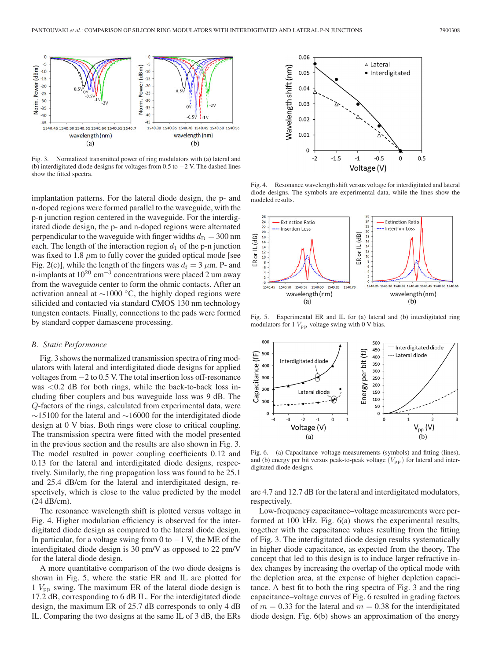

Fig. 3. Normalized transmitted power of ring modulators with (a) lateral and (b) interdigitated diode designs for voltages from 0.5 to −2 V. The dashed lines show the fitted spectra.

implantation patterns. For the lateral diode design, the p- and n-doped regions were formed parallel to the waveguide, with the p-n junction region centered in the waveguide. For the interdigitated diode design, the p- and n-doped regions were alternated perpendicular to the waveguide with finger widths  $d_D = 300$  nm each. The length of the interaction region  $d_1$  of the p-n junction was fixed to 1.8  $\mu$ m to fully cover the guided optical mode [see Fig. 2(c)], while the length of the fingers was  $d_f = 3 \mu m$ . P- and n-implants at  $10^{20}$  cm<sup>-3</sup> concentrations were placed 2 um away from the waveguide center to form the ohmic contacts. After an activation anneal at ∼1000 ◦C, the highly doped regions were silicided and contacted via standard CMOS 130 nm technology tungsten contacts. Finally, connections to the pads were formed by standard copper damascene processing.

## *B. Static Performance*

Fig. 3 shows the normalized transmission spectra of ring modulators with lateral and interdigitated diode designs for applied voltages from −2 to 0.5 V. The total insertion loss off-resonance was  $< 0.2$  dB for both rings, while the back-to-back loss including fiber couplers and bus waveguide loss was 9 dB. The Q-factors of the rings, calculated from experimental data, were  $\sim$ 15100 for the lateral and  $\sim$ 16000 for the interdigitated diode design at 0 V bias. Both rings were close to critical coupling. The transmission spectra were fitted with the model presented in the previous section and the results are also shown in Fig. 3. The model resulted in power coupling coefficients 0.12 and 0.13 for the lateral and interdigitated diode designs, respectively. Similarly, the ring propagation loss was found to be 25.1 and 25.4 dB/cm for the lateral and interdigitated design, respectively, which is close to the value predicted by the model (24 dB/cm).

The resonance wavelength shift is plotted versus voltage in Fig. 4. Higher modulation efficiency is observed for the interdigitated diode design as compared to the lateral diode design. In particular, for a voltage swing from 0 to  $-1$  V, the ME of the interdigitated diode design is 30 pm/V as opposed to 22 pm/V for the lateral diode design.

A more quantitative comparison of the two diode designs is shown in Fig. 5, where the static ER and IL are plotted for  $1$   $V_{\text{pp}}$  swing. The maximum ER of the lateral diode design is 17.2 dB, corresponding to 6 dB IL. For the interdigitated diode design, the maximum ER of 25.7 dB corresponds to only 4 dB IL. Comparing the two designs at the same IL of 3 dB, the ERs



Fig. 4. Resonance wavelength shift versus voltage for interdigitated and lateral diode designs. The symbols are experimental data, while the lines show the modeled results.



Fig. 5. Experimental ER and IL for (a) lateral and (b) interdigitated ring modulators for 1  $V_{\text{pp}}$  voltage swing with 0 V bias.



Fig. 6. (a) Capacitance–voltage measurements (symbols) and fitting (lines), and (b) energy per bit versus peak-to-peak voltage  $(V_{\text{pp}})$  for lateral and interdigitated diode designs.

are 4.7 and 12.7 dB for the lateral and interdigitated modulators, respectively.

Low-frequency capacitance–voltage measurements were performed at 100 kHz. Fig. 6(a) shows the experimental results, together with the capacitance values resulting from the fitting of Fig. 3. The interdigitated diode design results systematically in higher diode capacitance, as expected from the theory. The concept that led to this design is to induce larger refractive index changes by increasing the overlap of the optical mode with the depletion area, at the expense of higher depletion capacitance. A best fit to both the ring spectra of Fig. 3 and the ring capacitance–voltage curves of Fig. 6 resulted in grading factors of  $m = 0.33$  for the lateral and  $m = 0.38$  for the interdigitated diode design. Fig. 6(b) shows an approximation of the energy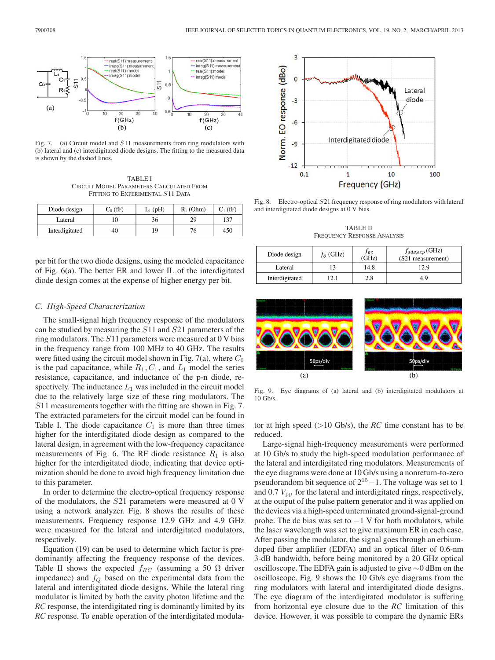

Fig. 7. (a) Circuit model and S11 measurements from ring modulators with (b) lateral and (c) interdigitated diode designs. The fitting to the measured data is shown by the dashed lines.

TABLE I CIRCUIT MODEL PARAMETERS CALCULATED FROM FITTING TO EXPERIMENTAL  $S11$  DATA

| Diode design   | $C_0$ (fF) | $L_1$ (pH) | $R_1$ (Ohm) | $C_1$ (fF) |
|----------------|------------|------------|-------------|------------|
| Lateral        |            | 36.        | 29          | 137        |
| Interdigitated | 40         |            |             | 450        |

per bit for the two diode designs, using the modeled capacitance of Fig. 6(a). The better ER and lower IL of the interdigitated diode design comes at the expense of higher energy per bit.

# *C. High-Speed Characterization*

The small-signal high frequency response of the modulators can be studied by measuring the S11 and S21 parameters of the ring modulators. The  $S11$  parameters were measured at 0 V bias in the frequency range from 100 MHz to 40 GHz. The results were fitted using the circuit model shown in Fig. 7(a), where  $C_0$ is the pad capacitance, while  $R_1, C_1$ , and  $L_1$  model the series resistance, capacitance, and inductance of the p-n diode, respectively. The inductance  $L_1$  was included in the circuit model due to the relatively large size of these ring modulators. The S11 measurements together with the fitting are shown in Fig. 7. The extracted parameters for the circuit model can be found in Table I. The diode capacitance  $C_1$  is more than three times higher for the interdigitated diode design as compared to the lateral design, in agreement with the low-frequency capacitance measurements of Fig. 6. The RF diode resistance  $R_1$  is also higher for the interdigitated diode, indicating that device optimization should be done to avoid high frequency limitation due to this parameter.

In order to determine the electro-optical frequency response of the modulators, the S21 parameters were measured at 0 V using a network analyzer. Fig. 8 shows the results of these measurements. Frequency response 12.9 GHz and 4.9 GHz were measured for the lateral and interdigitated modulators, respectively.

Equation (19) can be used to determine which factor is predominantly affecting the frequency response of the devices. Table II shows the expected  $f_{RC}$  (assuming a 50  $\Omega$  driver impedance) and  $f_Q$  based on the experimental data from the lateral and interdigitated diode designs. While the lateral ring modulator is limited by both the cavity photon lifetime and the *RC* response, the interdigitated ring is dominantly limited by its *RC* response. To enable operation of the interdigitated modula-



Fig. 8. Electro-optical S21 frequency response of ring modulators with lateral and interdigitated diode designs at 0 V bias.

TABLE II FREQUENCY RESPONSE ANALYSIS

| Diode design   | $f_0$ (GHz) | J RC<br>'GHz) | $f_{3dB,exp}$ (GHz)<br>(S21 measurement) |
|----------------|-------------|---------------|------------------------------------------|
| Lateral        |             | 14.8          | 12.9                                     |
| Interdigitated |             | 2.8           | 4 G                                      |



Fig. 9. Eye diagrams of (a) lateral and (b) interdigitated modulators at 10 Gb/s.

tor at high speed  $(>10 \text{Gb/s})$ , the *RC* time constant has to be reduced.

Large-signal high-frequency measurements were performed at 10 Gb/s to study the high-speed modulation performance of the lateral and interdigitated ring modulators. Measurements of the eye diagrams were done at 10 Gb/s using a nonreturn-to-zero pseudorandom bit sequence of  $2^{15} - 1$ . The voltage was set to 1 and  $0.7 V<sub>pp</sub>$  for the lateral and interdigitated rings, respectively, at the output of the pulse pattern generator and it was applied on the devices via a high-speed unterminated ground-signal-ground probe. The dc bias was set to  $-1$  V for both modulators, while the laser wavelength was set to give maximum ER in each case. After passing the modulator, the signal goes through an erbiumdoped fiber amplifier (EDFA) and an optical filter of 0.6-nm 3-dB bandwidth, before being monitored by a 20 GHz optical oscilloscope. The EDFA gain is adjusted to give ∼0 dBm on the oscilloscope. Fig. 9 shows the 10 Gb/s eye diagrams from the ring modulators with lateral and interdigitated diode designs. The eye diagram of the interdigitated modulator is suffering from horizontal eye closure due to the *RC* limitation of this device. However, it was possible to compare the dynamic ERs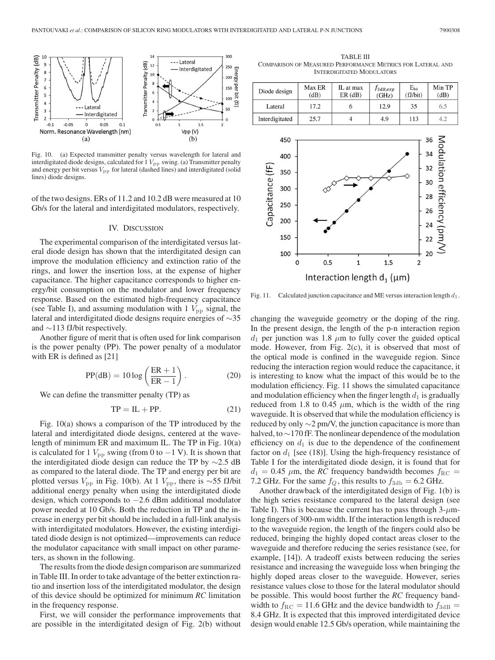

Fig. 10. (a) Expected transmitter penalty versus wavelength for lateral and interdigitated diode designs, calculated for  $1 V_{\text{pp}}$  swing. (a) Transmitter penalty and energy per bit versus  $V_{\rm pp}$  for lateral (dashed lines) and interdigitated (solid lines) diode designs.

of the two designs. ERs of 11.2 and 10.2 dB were measured at 10 Gb/s for the lateral and interdigitated modulators, respectively.

## IV. DISCUSSION

The experimental comparison of the interdigitated versus lateral diode design has shown that the interdigitated design can improve the modulation efficiency and extinction ratio of the rings, and lower the insertion loss, at the expense of higher capacitance. The higher capacitance corresponds to higher energy/bit consumption on the modulator and lower frequency response. Based on the estimated high-frequency capacitance (see Table I), and assuming modulation with 1  $V_{\text{pp}}$  signal, the lateral and interdigitated diode designs require energies of ∼35 and ∼113 fJ/bit respectively.

Another figure of merit that is often used for link comparison is the power penalty (PP). The power penalty of a modulator with ER is defined as [21]

$$
PP(dB) = 10 \log \left( \frac{ER + 1}{ER - 1} \right). \tag{20}
$$

We can define the transmitter penalty (TP) as

$$
TP = IL + PP.
$$
 (21)

Fig. 10(a) shows a comparison of the TP introduced by the lateral and interdigitated diode designs, centered at the wavelength of minimum ER and maximum IL. The TP in Fig. 10(a) is calculated for 1  $V_{\text{pp}}$  swing (from 0 to  $-1$  V). It is shown that the interdigitated diode design can reduce the TP by ∼2.5 dB as compared to the lateral diode. The TP and energy per bit are plotted versus  $V_{\text{pp}}$  in Fig. 10(b). At 1  $V_{\text{pp}}$ , there is ∼55 fJ/bit additional energy penalty when using the interdigitated diode design, which corresponds to −2.6 dBm additional modulator power needed at 10 Gb/s. Both the reduction in TP and the increase in energy per bit should be included in a full-link analysis with interdigitated modulators. However, the existing interdigitated diode design is not optimized—improvements can reduce the modulator capacitance with small impact on other parameters, as shown in the following.

The results from the diode design comparison are summarized in Table III. In order to take advantage of the better extinction ratio and insertion loss of the interdigitated modulator, the design of this device should be optimized for minimum *RC* limitation in the frequency response.

First, we will consider the performance improvements that are possible in the interdigitated design of Fig. 2(b) without

TABLE III COMPARISON OF MEASURED PERFORMANCE METRICS FOR LATERAL AND INTERDIGITATED MODULATORS

| Diode design   | Max ER<br>(dB) | IL at max<br>ER(dB) | J3dB, exp<br>(GHz) | $E_{\text{bit}}$<br>(fJ/bit) | Min TP<br>(dB) |
|----------------|----------------|---------------------|--------------------|------------------------------|----------------|
| Lateral        | 17.2           | O                   | 12.9               | 35                           | 6.5            |
| Interdigitated | 25.7           |                     | 4.9                | 113                          | 4.2            |
|                |                |                     |                    |                              |                |



Fig. 11. Calculated junction capacitance and ME versus interaction length  $d_1$ .

changing the waveguide geometry or the doping of the ring. In the present design, the length of the p-n interaction region  $d_1$  per junction was 1.8  $\mu$ m to fully cover the guided optical mode. However, from Fig. 2(c), it is observed that most of the optical mode is confined in the waveguide region. Since reducing the interaction region would reduce the capacitance, it is interesting to know what the impact of this would be to the modulation efficiency. Fig. 11 shows the simulated capacitance and modulation efficiency when the finger length  $d_1$  is gradually reduced from 1.8 to 0.45  $\mu$ m, which is the width of the ring waveguide. It is observed that while the modulation efficiency is reduced by only  $\sim$ 2 pm/V, the junction capacitance is more than halved, to ∼170 fF. The nonlinear dependence of the modulation efficiency on  $d_1$  is due to the dependence of the confinement factor on  $d_1$  [see (18)]. Using the high-frequency resistance of Table I for the interdigitated diode design, it is found that for  $d_1 = 0.45 \mu$ m, the *RC* frequency bandwidth becomes  $f_{\text{RC}} =$ 7.2 GHz. For the same  $f_Q$ , this results to  $f_{3db} = 6.2$  GHz.

Another drawback of the interdigitated design of Fig. 1(b) is the high series resistance compared to the lateral design (see Table I). This is because the current has to pass through  $3-\mu m$ long fingers of 300-nm width. If the interaction length is reduced to the waveguide region, the length of the fingers could also be reduced, bringing the highly doped contact areas closer to the waveguide and therefore reducing the series resistance (see, for example, [14]). A tradeoff exists between reducing the series resistance and increasing the waveguide loss when bringing the highly doped areas closer to the waveguide. However, series resistance values close to those for the lateral modulator should be possible. This would boost further the *RC* frequency bandwidth to  $f_{\text{RC}} = 11.6$  GHz and the device bandwidth to  $f_{3\text{dB}} =$ 8.4 GHz. It is expected that this improved interdigitated device design would enable 12.5 Gb/s operation, while maintaining the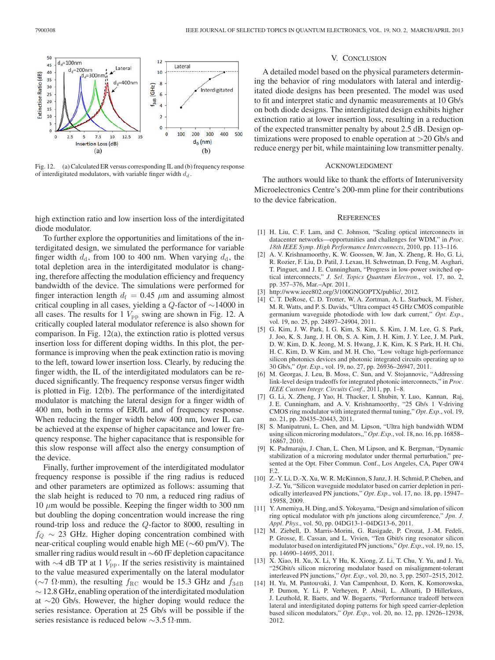

Fig. 12. (a) Calculated ER versus corresponding IL and (b) frequency response of interdigitated modulators, with variable finger width  $d_d$ .

high extinction ratio and low insertion loss of the interdigitated diode modulator.

To further explore the opportunities and limitations of the interdigitated design, we simulated the performance for variable finger width  $d_d$ , from 100 to 400 nm. When varying  $d_d$ , the total depletion area in the interdigitated modulator is changing, therefore affecting the modulation efficiency and frequency bandwidth of the device. The simulations were performed for finger interaction length  $d_f = 0.45 \mu m$  and assuming almost critical coupling in all cases, yielding a Q-factor of ∼14000 in all cases. The results for 1  $V_{\text{pp}}$  swing are shown in Fig. 12. A critically coupled lateral modulator reference is also shown for comparison. In Fig. 12(a), the extinction ratio is plotted versus insertion loss for different doping widths. In this plot, the performance is improving when the peak extinction ratio is moving to the left, toward lower insertion loss. Clearly, by reducing the finger width, the IL of the interdigitated modulators can be reduced significantly. The frequency response versus finger width is plotted in Fig. 12(b). The performance of the interdigitated modulator is matching the lateral design for a finger width of 400 nm, both in terms of ER/IL and of frequency response. When reducing the finger width below 400 nm, lower IL can be achieved at the expense of higher capacitance and lower frequency response. The higher capacitance that is responsible for this slow response will affect also the energy consumption of the device.

Finally, further improvement of the interdigitated modulator frequency response is possible if the ring radius is reduced and other parameters are optimized as follows: assuming that the slab height is reduced to 70 nm, a reduced ring radius of  $10 \mu$ m would be possible. Keeping the finger width to 300 nm but doubling the doping concentration would increase the ring round-trip loss and reduce the Q-factor to 8000, resulting in  $f_{Q}$  ∼ 23 GHz. Higher doping concentration combined with near-critical coupling would enable high ME (∼60 pm/V). The smaller ring radius would result in ∼60 fF depletion capacitance with  $\sim$ 4 dB TP at 1  $V_{\text{pp}}$ . If the series resistivity is maintained to the value measured experimentally on the lateral modulator (∼7 Ω·mm), the resulting  $f_{\rm RC}$  would be 15.3 GHz and  $f_{\rm 3dB}$ ∼ 12.8 GHz, enabling operation of the interdigitated modulation at ∼20 Gb/s. However, the higher doping would reduce the series resistance. Operation at 25 Gb/s will be possible if the series resistance is reduced below ∼3.5 Ω·mm.

## V. CONCLUSION

A detailed model based on the physical parameters determining the behavior of ring modulators with lateral and interdigitated diode designs has been presented. The model was used to fit and interpret static and dynamic measurements at 10 Gb/s on both diode designs. The interdigitated design exhibits higher extinction ratio at lower insertion loss, resulting in a reduction of the expected transmitter penalty by about 2.5 dB. Design optimizations were proposed to enable operation at >20 Gb/s and reduce energy per bit, while maintaining low transmitter penalty.

#### ACKNOWLEDGMENT

The authors would like to thank the efforts of Interuniversity Microelectronics Centre's 200-mm pline for their contributions to the device fabrication.

### **REFERENCES**

- [1] H. Liu, C. F. Lam, and C. Johnson, "Scaling optical interconnects in datacenter networks—opportunities and challenges for WDM," in *Proc. 18th IEEE Symp. High Performance Interconnects*, 2010, pp. 113–116.
- [2] A. V. Krishnamoorthy, K. W. Goossen, W. Jan, X. Zheng, R. Ho, G. Li, R. Rozier, F. Liu, D. Patil, J. Lexau, H. Schwetman, D. Feng, M. Asghari, T. Pinguet, and J. E. Cunningham, "Progress in low-power switched optical interconnects," *J. Sel. Topics Quantum Electron.*, vol. 17, no. 2, pp. 357–376, Mar.–Apr. 2011.
- [3] http://www.ieee802.org/3/100GNGOPTX/public/, 2012.
- [4] C. T. DeRose, C. D. Trotter, W. A. Zortman, A. L. Starbuck, M. Fisher, M. R. Watts, and P. S. Davids, "Ultra compact 45 GHz CMOS compatible germanium waveguide photodiode with low dark current," *Opt. Exp.*, vol. 19, no. 25, pp. 24897-24904, 2011.
- [5] G. Kim, J. W. Park, I. G. Kim, S. Kim, S. Kim, J. M. Lee, G. S. Park, J. Joo, K. S. Jang, J. H. Oh, S. A. Kim, J. H. Kim, J. Y. Lee, J. M. Park, D. W. Kim, D. K. Jeong, M. S. Hwang, J. K. Kim, K. S Park, H. H. Chi, H. C. Kim, D. W Kim, and M. H. Cho, "Low voltage high-performance silicon photonics devices and photonic integrated circuits operating up to 30 Gb/s," *Opt. Exp.*, vol. 19, no. 27, pp. 26936–26947, 2011.
- [6] M. Georgas, J. Leu, B. Moss, C. Sun, and V. Stojannovic, "Addressing link-level design tradeoffs for integrated photonic interconnects," in *Proc. IEEE Custom Integr. Circuits Conf.*, 2011, pp. 1–8.
- [7] G. Li, X. Zheng, J Yao, H. Thacker, I. Shubin, Y. Luo, Kannan, Raj, J. E. Cunningham, and A. V. Krishnamoorthy, "25 Gb/s 1 V-driving CMOS ring modulator with integrated thermal tuning," *Opt. Exp.*, vol. 19, no. 21, pp. 20435–20443, 2011.
- [8] S. Manipatruni, L. Chen, and M. Lipson, "Ultra high bandwidth WDM using silicon microring modulators,," *Opt. Exp.*, vol. 18, no. 16, pp. 16858– 16867, 2010.
- [9] K. Padmaraju, J. Chan, L. Chen, M Lipson, and K. Bergman, "Dynamic stabilization of a microring modulator under thermal perturbation," presented at the Opt. Fiber Commun. Conf., Los Angeles, CA, Paper OW4  $F<sub>2</sub>$
- [10] Z.-Y. Li, D.-X. Xu, W. R. McKinnon, S Janz, J. H. Schmid, P. Cheben, and J.-Z. Yu, "Silicon waveguide modulator based on carrier depletion in periodically interleaved PN junctions," *Opt. Exp.*, vol. 17, no. 18, pp. 15947– 15958, 2009.
- [11] Y. Amemiya, H. Ding, and S. Yokoyama, "Design and simulation of silicon ring optical modulator with p/n junctions along circumference," *Jpn. J. Appl. Phys.*, vol. 50, pp. 04DG13-1–04DG13-6, 2011.
- [12] M. Ziebell, D. Marris-Morini, G. Rasigade, P. Crozat, J.-M. Fedeli, P. Grosse, E. Cassan, and L. Vivien, "Ten Gbit/s ring resonator silicon modulator based on interdigitated PN junctions," *Opt. Exp.*, vol. 19, no. 15, pp. 14690–14695, 2011.
- [13] X. Xiao, H. Xu, X. Li, Y Hu, K. Xiong, Z. Li, T. Chu, Y. Yu, and J. Yu, "25Gbit/s silicon microring modulator based on misalignment-tolerant interleaved PN junctions," *Opt. Exp.*, vol. 20, no. 3, pp. 2507–2515, 2012.
- [14] H. Yu, M. Pantouvaki, J. Van Campenhout, D. Korn, K. Komorowska, P. Dumon, Y. Li, P. Verheyen, P. Absil, L. Alloatti, D Hillerkuss, J. Leuthold, R. Baets, and W. Bogaerts, "Performance tradeoff between lateral and interdigitated doping patterns for high speed carrier-depletion based silicon modulators," *Opt. Exp.*, vol. 20, no. 12, pp. 12926–12938, 2012.